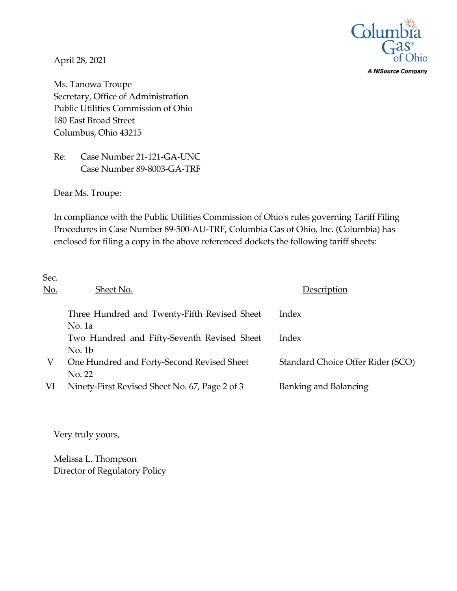

**A NiSource Company** 

April 28, 2021

Ms. Tanowa Troupe Secretary, Office of Administration Public Utilities Commission of Ohio 180 East Broad Street Columbus, Ohio 43215

Re: Case Number 21-121-GA-UNC Case Number 89-8003-GA-TRF

Dear Ms. Troupe:

In compliance with the Public Utilities Commission of Ohio's rules governing Tariff Filing Procedures in Case Number 89-500-AU-TRF, Columbia Gas of Ohio, Inc. (Columbia) has enclosed for filing a copy in the above referenced dockets the following tariff sheets:

| Sec.       |                                                          |                                   |
|------------|----------------------------------------------------------|-----------------------------------|
| <u>No.</u> | Sheet No.                                                | Description                       |
|            | Three Hundred and Twenty-Fifth Revised Sheet             | Index                             |
|            | No. 1a<br>Two Hundred and Fifty-Seventh Revised Sheet    | Index                             |
|            | No. 1b                                                   |                                   |
| V          | One Hundred and Forty-Second Revised Sheet               | Standard Choice Offer Rider (SCO) |
| VI         | No. 22<br>Ninety-First Revised Sheet No. 67, Page 2 of 3 | Banking and Balancing             |

Very truly yours,

Melissa L. Thompson Director of Regulatory Policy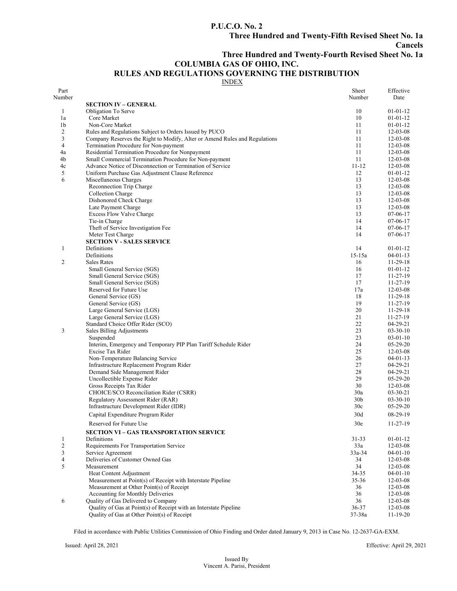### **P.U.C.O. No. 2**

**Cancels** 

## **Three Hundred and Twenty-Fourth Revised Sheet No. 1a**

### **COLUMBIA GAS OF OHIO, INC.**

# **RULES AND REGULATIONS GOVERNING THE DISTRIBUTION**

INDEX

| Part<br>Number |                                                                            | Sheet<br>Number | Effective<br>Date    |
|----------------|----------------------------------------------------------------------------|-----------------|----------------------|
|                | <b>SECTION IV – GENERAL</b>                                                |                 |                      |
| 1              | Obligation To Serve                                                        | 10              | $01-01-12$           |
| 1a             | Core Market                                                                | 10              | $01-01-12$           |
| 1b             | Non-Core Market                                                            | 11              | $01-01-12$           |
| $\overline{c}$ | Rules and Regulations Subject to Orders Issued by PUCO                     | 11              | $12 - 03 - 08$       |
| 3              | Company Reserves the Right to Modify, Alter or Amend Rules and Regulations | 11              | $12 - 03 - 08$       |
| 4              | Termination Procedure for Non-payment                                      | 11              | 12-03-08             |
| 4a             | Residential Termination Procedure for Nonpayment                           | 11              | $12 - 03 - 08$       |
| 4b             | Small Commercial Termination Procedure for Non-payment                     | 11              | $12 - 03 - 08$       |
| 4c             | Advance Notice of Disconnection or Termination of Service                  | $11 - 12$       | $12 - 03 - 08$       |
| 5              | Uniform Purchase Gas Adjustment Clause Reference                           | 12              | $01-01-12$           |
| 6              | Miscellaneous Charges                                                      | 13              | $12 - 03 - 08$       |
|                | Reconnection Trip Charge                                                   | 13              | 12-03-08             |
|                | Collection Charge                                                          | 13              | 12-03-08             |
|                | Dishonored Check Charge                                                    | 13              | $12 - 03 - 08$       |
|                | Late Payment Charge                                                        | 13              | $12 - 03 - 08$       |
|                | <b>Excess Flow Valve Charge</b>                                            | 13              | $07-06-17$           |
|                | Tie-in Charge                                                              | 14              | $07-06-17$           |
|                | Theft of Service Investigation Fee                                         | 14              | $07-06-17$           |
|                | Meter Test Charge                                                          | 14              | $07-06-17$           |
|                | <b>SECTION V - SALES SERVICE</b>                                           |                 |                      |
| 1              | Definitions                                                                | 14              | $01-01-12$           |
|                | Definitions                                                                | $15 - 15a$      | $04 - 01 - 13$       |
| 2              | <b>Sales Rates</b>                                                         | 16              | 11-29-18             |
|                | Small General Service (SGS)                                                | 16              | $01-01-12$           |
|                | Small General Service (SGS)                                                | 17<br>17        | $11 - 27 - 19$       |
|                | Small General Service (SGS)                                                |                 | $11 - 27 - 19$       |
|                | Reserved for Future Use                                                    | 17a             | 12-03-08             |
|                | General Service (GS)                                                       | 18<br>19        | 11-29-18             |
|                | General Service (GS)                                                       | 20              | $11 - 27 - 19$       |
|                | Large General Service (LGS)<br>Large General Service (LGS)                 | 21              | 11-29-18<br>11-27-19 |
|                | Standard Choice Offer Rider (SCO)                                          | 22              | 04-29-21             |
| 3              | Sales Billing Adjustments                                                  | 23              | $03 - 30 - 10$       |
|                | Suspended                                                                  | 23              | $03-01-10$           |
|                | Interim, Emergency and Temporary PIP Plan Tariff Schedule Rider            | 24              | $05-29-20$           |
|                | Excise Tax Rider                                                           | 25              | $12 - 03 - 08$       |
|                | Non-Temperature Balancing Service                                          | 26              | $04 - 01 - 13$       |
|                | Infrastructure Replacement Program Rider                                   | 27              | $04-29-21$           |
|                | Demand Side Management Rider                                               | 28              | $04 - 29 - 21$       |
|                | Uncollectible Expense Rider                                                | 29              | 05-29-20             |
|                | Gross Receipts Tax Rider                                                   | 30              | $12 - 03 - 08$       |
|                | CHOICE/SCO Reconciliation Rider (CSRR)                                     | 30a             | $03 - 30 - 21$       |
|                | Regulatory Assessment Rider (RAR)                                          | 30 <sub>b</sub> | $03 - 30 - 10$       |
|                | Infrastructure Development Rider (IDR)                                     | 30c             | $05-29-20$           |
|                | Capital Expenditure Program Rider                                          | 30d             | 08-29-19             |
|                | Reserved for Future Use                                                    | 30e             | $11-27-19$           |
|                | <b>SECTION VI - GAS TRANSPORTATION SERVICE</b>                             |                 |                      |
| 1              | Definitions                                                                | $31 - 33$       | $01 - 01 - 12$       |
| $\mathfrak{2}$ | Requirements For Transportation Service                                    | 33a             | $12 - 03 - 08$       |
| 3              | Service Agreement                                                          | 33a-34          | $04 - 01 - 10$       |
| 4              | Deliveries of Customer Owned Gas                                           | 34              | $12 - 03 - 08$       |
| 5              | Measurement                                                                | 34              | 12-03-08             |
|                | Heat Content Adjustment                                                    | 34-35           | $04 - 01 - 10$       |
|                | Measurement at Point(s) of Receipt with Interstate Pipeline                | 35-36           | $12 - 03 - 08$       |
|                | Measurement at Other Point(s) of Receipt                                   | 36              | 12-03-08             |
|                | Accounting for Monthly Deliveries                                          | 36              | 12-03-08             |
| 6              | Quality of Gas Delivered to Company                                        | 36              | 12-03-08             |
|                | Quality of Gas at Point(s) of Receipt with an Interstate Pipeline          | 36-37           | $12 - 03 - 08$       |
|                | Quality of Gas at Other Point(s) of Receipt                                | 37-38a          | $11-19-20$           |

Filed in accordance with Public Utilities Commission of Ohio Finding and Order dated January 9, 2013 in Case No. 12-2637-GA-EXM.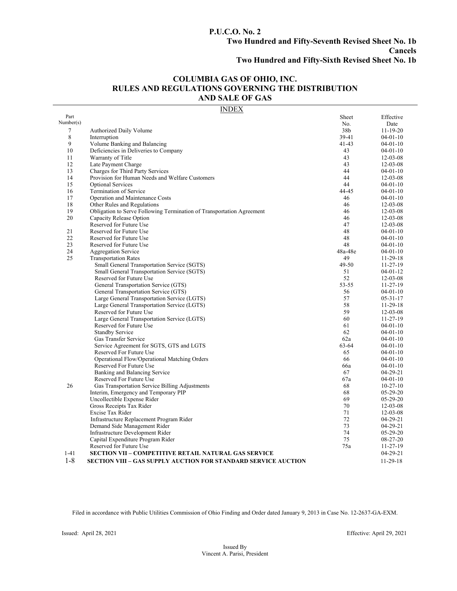## **P.U.C.O. No. 2 Two Hundred and Fifty-Seventh Revised Sheet No. 1b Cancels**

**Two Hundred and Fifty-Sixth Revised Sheet No. 1b**

### **COLUMBIA GAS OF OHIO, INC. RULES AND REGULATIONS GOVERNING THE DISTRIBUTION AND SALE OF GAS**

### INDEX

| Part      |                                                                       | Sheet     | Effective      |
|-----------|-----------------------------------------------------------------------|-----------|----------------|
| Number(s) |                                                                       | No.       | Date           |
| 7         | Authorized Daily Volume                                               | 38b       | $11 - 19 - 20$ |
| 8         | Interruption                                                          | 39-41     | $04 - 01 - 10$ |
| 9         | Volume Banking and Balancing                                          | $41 - 43$ | $04 - 01 - 10$ |
| 10        | Deficiencies in Deliveries to Company                                 | 43        | $04-01-10$     |
| 11        | Warranty of Title                                                     | 43        | $12 - 03 - 08$ |
| 12        | Late Payment Charge                                                   | 43        | $12 - 03 - 08$ |
| 13        | Charges for Third Party Services                                      | 44        | $04-01-10$     |
| 14        | Provision for Human Needs and Welfare Customers                       | 44        | $12 - 03 - 08$ |
| 15        | <b>Optional Services</b>                                              | 44        | $04-01-10$     |
| 16        | Termination of Service                                                | 44-45     | $04-01-10$     |
| 17        | Operation and Maintenance Costs                                       | 46        | $04-01-10$     |
| 18        | Other Rules and Regulations                                           | 46        | $12 - 03 - 08$ |
| 19        | Obligation to Serve Following Termination of Transportation Agreement | 46        | $12 - 03 - 08$ |
| 20        | Capacity Release Option                                               | 46        | $12 - 03 - 08$ |
|           | Reserved for Future Use                                               | 47        | $12 - 03 - 08$ |
| 21        | Reserved for Future Use                                               | 48        | $04 - 01 - 10$ |
| 22        | Reserved for Future Use                                               | 48        | $04 - 01 - 10$ |
| 23        | Reserved for Future Use                                               | 48        | $04 - 01 - 10$ |
| 24        | Aggregation Service                                                   | 48a-48e   | $04 - 01 - 10$ |
| 25        | <b>Transportation Rates</b>                                           | 49        | $11-29-18$     |
|           | Small General Transportation Service (SGTS)                           | 49-50     | 11-27-19       |
|           | Small General Transportation Service (SGTS)                           | 51        | $04 - 01 - 12$ |
|           | Reserved for Future Use                                               | 52        | $12 - 03 - 08$ |
|           | General Transportation Service (GTS)                                  | 53-55     | 11-27-19       |
|           | General Transportation Service (GTS)                                  | 56        | $04-01-10$     |
|           | Large General Transportation Service (LGTS)                           | 57        | $05 - 31 - 17$ |
|           | Large General Transportation Service (LGTS)                           | 58        | $11-29-18$     |
|           | Reserved for Future Use                                               | 59        | $12 - 03 - 08$ |
|           | Large General Transportation Service (LGTS)                           | 60        | 11-27-19       |
|           | Reserved for Future Use                                               | 61        | $04-01-10$     |
|           | <b>Standby Service</b>                                                | 62        | $04-01-10$     |
|           | Gas Transfer Service                                                  | 62a       | $04-01-10$     |
|           | Service Agreement for SGTS, GTS and LGTS                              | 63-64     | $04 - 01 - 10$ |
|           | Reserved For Future Use                                               | 65        | $04-01-10$     |
|           | Operational Flow/Operational Matching Orders                          | 66        | $04-01-10$     |
|           | Reserved For Future Use                                               | 66a       | $04-01-10$     |
|           | Banking and Balancing Service                                         | 67        | $04 - 29 - 21$ |
|           | Reserved For Future Use                                               | 67a       | $04 - 01 - 10$ |
| 26        | Gas Transportation Service Billing Adjustments                        | 68        | $10-27-10$     |
|           | Interim, Emergency and Temporary PIP                                  | 68        | $05-29-20$     |
|           | Uncollectible Expense Rider                                           | 69        | $05-29-20$     |
|           | Gross Receipts Tax Rider                                              | 70        | $12 - 03 - 08$ |
|           | Excise Tax Rider                                                      | 71        | $12 - 03 - 08$ |
|           | Infrastructure Replacement Program Rider                              | 72        | $04-29-21$     |
|           | Demand Side Management Rider                                          | 73        | $04-29-21$     |
|           | Infrastructure Development Rider                                      | 74        | $05-29-20$     |
|           | Capital Expenditure Program Rider                                     | 75        | 08-27-20       |
|           | Reserved for Future Use                                               | 75a       | $11-27-19$     |
| $1 - 41$  | <b>SECTION VII - COMPETITIVE RETAIL NATURAL GAS SERVICE</b>           |           | $04-29-21$     |
| $1 - 8$   |                                                                       |           |                |
|           | <b>SECTION VIII – GAS SUPPLY AUCTION FOR STANDARD SERVICE AUCTION</b> |           | $11-29-18$     |

Filed in accordance with Public Utilities Commission of Ohio Finding and Order dated January 9, 2013 in Case No. 12-2637-GA-EXM.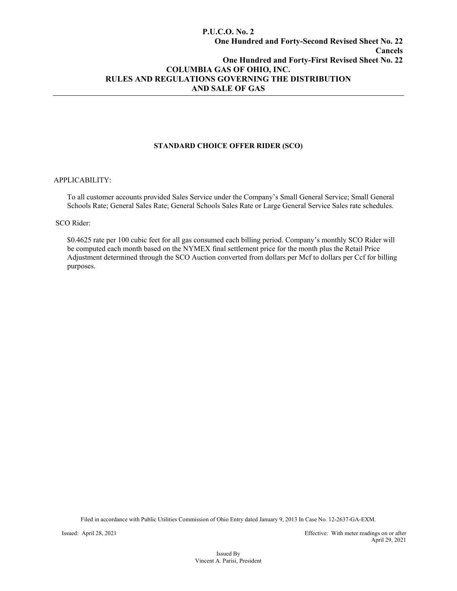### **P.U.C.O. No. 2 One Hundred and Forty-Second Revised Sheet No. 22 Cancels One Hundred and Forty-First Revised Sheet No. 22 COLUMBIA GAS OF OHIO, INC. RULES AND REGULATIONS GOVERNING THE DISTRIBUTION AND SALE OF GAS**

### **STANDARD CHOICE OFFER RIDER (SCO)**

#### APPLICABILITY:

To all customer accounts provided Sales Service under the Company's Small General Service; Small General Schools Rate; General Sales Rate; General Schools Sales Rate or Large General Service Sales rate schedules.

#### SCO Rider:

\$0.4625 rate per 100 cubic feet for all gas consumed each billing period. Company's monthly SCO Rider will be computed each month based on the NYMEX final settlement price for the month plus the Retail Price Adjustment determined through the SCO Auction converted from dollars per Mcf to dollars per Ccf for billing purposes.

Filed in accordance with Public Utilities Commission of Ohio Entry dated January 9, 2013 In Case No. 12-2637-GA-EXM.

Issued: April 28, 2021 Effective: With meter readings on or after April 29, 2021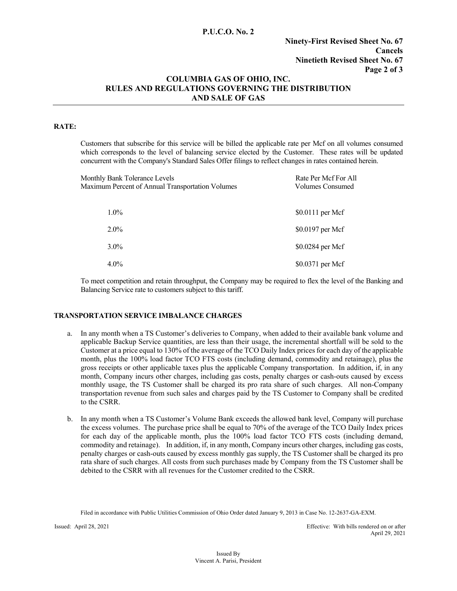### **P.U.C.O. No. 2**

### **Ninety-First Revised Sheet No. 67 Cancels Ninetieth Revised Sheet No. 67 Page 2 of 3**

### **COLUMBIA GAS OF OHIO, INC. RULES AND REGULATIONS GOVERNING THE DISTRIBUTION AND SALE OF GAS**

### **RATE:**

Customers that subscribe for this service will be billed the applicable rate per Mcf on all volumes consumed which corresponds to the level of balancing service elected by the Customer. These rates will be updated concurrent with the Company's Standard Sales Offer filings to reflect changes in rates contained herein.

| Monthly Bank Tolerance Levels<br>Maximum Percent of Annual Transportation Volumes | Rate Per Mcf For All<br><b>Volumes Consumed</b> |  |  |
|-----------------------------------------------------------------------------------|-------------------------------------------------|--|--|
| $1.0\%$                                                                           | \$0.0111 per Mcf                                |  |  |
| $2.0\%$                                                                           | \$0.0197 per Mcf                                |  |  |
| $3.0\%$                                                                           | \$0.0284 per Mcf                                |  |  |
| $4.0\%$                                                                           | \$0.0371 per Mcf                                |  |  |

To meet competition and retain throughput, the Company may be required to flex the level of the Banking and Balancing Service rate to customers subject to this tariff.

### **TRANSPORTATION SERVICE IMBALANCE CHARGES**

- a. In any month when a TS Customer's deliveries to Company, when added to their available bank volume and applicable Backup Service quantities, are less than their usage, the incremental shortfall will be sold to the Customer at a price equal to 130% of the average of the TCO Daily Index prices for each day of the applicable month, plus the 100% load factor TCO FTS costs (including demand, commodity and retainage), plus the gross receipts or other applicable taxes plus the applicable Company transportation. In addition, if, in any month, Company incurs other charges, including gas costs, penalty charges or cash-outs caused by excess monthly usage, the TS Customer shall be charged its pro rata share of such charges. All non-Company transportation revenue from such sales and charges paid by the TS Customer to Company shall be credited to the CSRR.
- b. In any month when a TS Customer's Volume Bank exceeds the allowed bank level, Company will purchase the excess volumes. The purchase price shall be equal to 70% of the average of the TCO Daily Index prices for each day of the applicable month, plus the 100% load factor TCO FTS costs (including demand, commodity and retainage). In addition, if, in any month, Company incurs other charges, including gas costs, penalty charges or cash-outs caused by excess monthly gas supply, the TS Customer shall be charged its pro rata share of such charges. All costs from such purchases made by Company from the TS Customer shall be debited to the CSRR with all revenues for the Customer credited to the CSRR.

Filed in accordance with Public Utilities Commission of Ohio Order dated January 9, 2013 in Case No. 12-2637-GA-EXM.

Issued: April 28, 2021 Effective: With bills rendered on or after April 29, 2021